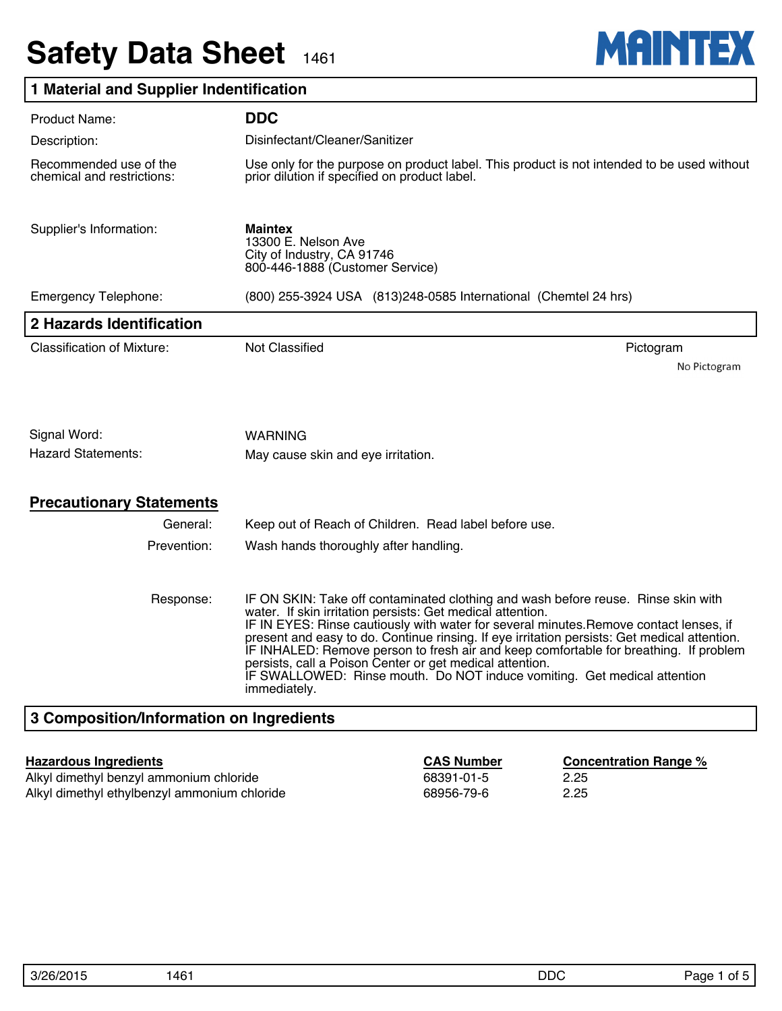# **Safety Data Sheet** 1461



### **1 Material and Supplier Indentification**

| <b>Product Name:</b>                                 | <b>DDC</b>                                                                                                                                                                                                                                                                                                                                                                                                                                                                                                                                                                                 |              |  |
|------------------------------------------------------|--------------------------------------------------------------------------------------------------------------------------------------------------------------------------------------------------------------------------------------------------------------------------------------------------------------------------------------------------------------------------------------------------------------------------------------------------------------------------------------------------------------------------------------------------------------------------------------------|--------------|--|
| Description:                                         | Disinfectant/Cleaner/Sanitizer                                                                                                                                                                                                                                                                                                                                                                                                                                                                                                                                                             |              |  |
| Recommended use of the<br>chemical and restrictions: | Use only for the purpose on product label. This product is not intended to be used without<br>prior dilution if specified on product label.                                                                                                                                                                                                                                                                                                                                                                                                                                                |              |  |
| Supplier's Information:                              | <b>Maintex</b><br>13300 E. Nelson Ave<br>City of Industry, CA 91746<br>800-446-1888 (Customer Service)                                                                                                                                                                                                                                                                                                                                                                                                                                                                                     |              |  |
| <b>Emergency Telephone:</b>                          | (800) 255-3924 USA (813) 248-0585 International (Chemtel 24 hrs)                                                                                                                                                                                                                                                                                                                                                                                                                                                                                                                           |              |  |
| 2 Hazards Identification                             |                                                                                                                                                                                                                                                                                                                                                                                                                                                                                                                                                                                            |              |  |
| <b>Classification of Mixture:</b>                    | <b>Not Classified</b><br>Pictogram                                                                                                                                                                                                                                                                                                                                                                                                                                                                                                                                                         |              |  |
|                                                      |                                                                                                                                                                                                                                                                                                                                                                                                                                                                                                                                                                                            | No Pictogram |  |
|                                                      |                                                                                                                                                                                                                                                                                                                                                                                                                                                                                                                                                                                            |              |  |
| Signal Word:                                         | WARNING                                                                                                                                                                                                                                                                                                                                                                                                                                                                                                                                                                                    |              |  |
| <b>Hazard Statements:</b>                            | May cause skin and eye irritation.                                                                                                                                                                                                                                                                                                                                                                                                                                                                                                                                                         |              |  |
| <b>Precautionary Statements</b>                      |                                                                                                                                                                                                                                                                                                                                                                                                                                                                                                                                                                                            |              |  |
| General:                                             | Keep out of Reach of Children. Read label before use.                                                                                                                                                                                                                                                                                                                                                                                                                                                                                                                                      |              |  |
| Prevention:                                          | Wash hands thoroughly after handling.                                                                                                                                                                                                                                                                                                                                                                                                                                                                                                                                                      |              |  |
| Response:                                            | IF ON SKIN: Take off contaminated clothing and wash before reuse. Rinse skin with<br>water. If skin irritation persists: Get medical attention.<br>IF IN EYES: Rinse cautiously with water for several minutes. Remove contact lenses, if<br>present and easy to do. Continue rinsing. If eye irritation persists: Get medical attention.<br>IF INHALED: Remove person to fresh air and keep comfortable for breathing. If problem<br>persists, call a Poison Center or get medical attention.<br>IF SWALLOWED: Rinse mouth. Do NOT induce vomiting. Get medical attention<br>immediately. |              |  |
| 3 Composition/Information on Ingredients             |                                                                                                                                                                                                                                                                                                                                                                                                                                                                                                                                                                                            |              |  |

Alkyl dimethyl benzyl ammonium chloride 68391-01-5 68391-01-5 Alkyl dimethyl ethylbenzyl ammonium chloride 68956-79-6 2.25

**Hazardous Ingredients CAS Number Concentration Range %**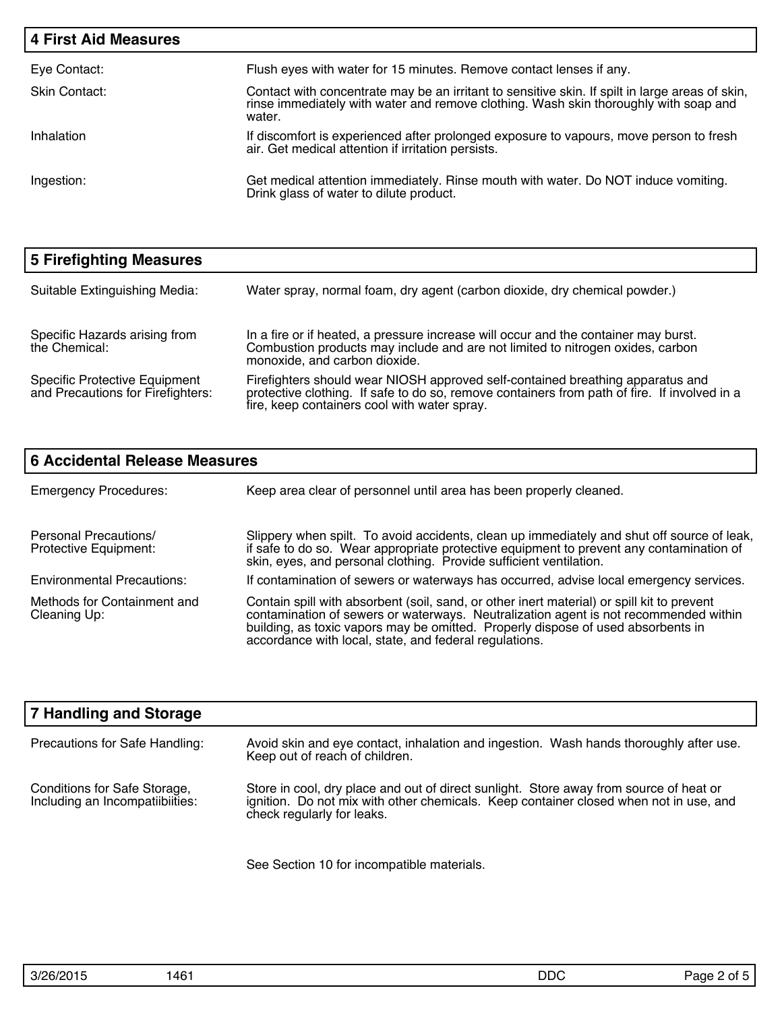| <b>4 First Aid Measures</b> |                                                                                                                                                                                                   |
|-----------------------------|---------------------------------------------------------------------------------------------------------------------------------------------------------------------------------------------------|
| Eye Contact:                | Flush eyes with water for 15 minutes. Remove contact lenses if any.                                                                                                                               |
| Skin Contact:               | Contact with concentrate may be an irritant to sensitive skin. If spilt in large areas of skin,<br>rinse immediately with water and remove clothing. Wash skin thoroughly with soap and<br>water. |
| Inhalation                  | If discomfort is experienced after prolonged exposure to vapours, move person to fresh<br>air. Get medical attention if irritation persists.                                                      |
| Ingestion:                  | Get medical attention immediately. Rinse mouth with water. Do NOT induce vomiting.<br>Drink glass of water to dilute product.                                                                     |

| 5 Firefighting Measures                                                   |                                                                                                                                                                                                                                |
|---------------------------------------------------------------------------|--------------------------------------------------------------------------------------------------------------------------------------------------------------------------------------------------------------------------------|
| Suitable Extinguishing Media:                                             | Water spray, normal foam, dry agent (carbon dioxide, dry chemical powder.)                                                                                                                                                     |
| Specific Hazards arising from<br>the Chemical:                            | In a fire or if heated, a pressure increase will occur and the container may burst.<br>Combustion products may include and are not limited to nitrogen oxides, carbon<br>monoxide, and carbon dioxide.                         |
| <b>Specific Protective Equipment</b><br>and Precautions for Firefighters: | Firefighters should wear NIOSH approved self-contained breathing apparatus and<br>protective clothing. If safe to do so, remove containers from path of fire. If involved in a<br>fire, keep containers cool with water spray. |

| <b>6 Accidental Release Measures</b>           |                                                                                                                                                                                                                                                                                                                                  |  |  |
|------------------------------------------------|----------------------------------------------------------------------------------------------------------------------------------------------------------------------------------------------------------------------------------------------------------------------------------------------------------------------------------|--|--|
| <b>Emergency Procedures:</b>                   | Keep area clear of personnel until area has been properly cleaned.                                                                                                                                                                                                                                                               |  |  |
| Personal Precautions/<br>Protective Equipment: | Slippery when spilt. To avoid accidents, clean up immediately and shut off source of leak,<br>if safe to do so. Wear appropriate protective equipment to prevent any contamination of<br>skin, eyes, and personal clothing. Provide sufficient ventilation.                                                                      |  |  |
| <b>Environmental Precautions:</b>              | If contamination of sewers or waterways has occurred, advise local emergency services.                                                                                                                                                                                                                                           |  |  |
| Methods for Containment and<br>Cleaning Up:    | Contain spill with absorbent (soil, sand, or other inert material) or spill kit to prevent<br>contamination of sewers or waterways. Neutralization agent is not recommended within<br>building, as toxic vapors may be omitted. Properly dispose of used absorbents in<br>accordance with local, state, and federal regulations. |  |  |

| 7 Handling and Storage                                          |                                                                                                                                                                                                               |
|-----------------------------------------------------------------|---------------------------------------------------------------------------------------------------------------------------------------------------------------------------------------------------------------|
| Precautions for Safe Handling:                                  | Avoid skin and eye contact, inhalation and ingestion. Wash hands thoroughly after use.<br>Keep out of reach of children.                                                                                      |
| Conditions for Safe Storage,<br>Including an Incompatiibiities: | Store in cool, dry place and out of direct sunlight. Store away from source of heat or<br>ignition. Do not mix with other chemicals. Keep container closed when not in use, and<br>check regularly for leaks. |

See Section 10 for incompatible materials.

| 3/26/2015 | .16<br>1401 | <b>DDC</b> | 'ane<br>ΩĪ<br>$\sim$ |
|-----------|-------------|------------|----------------------|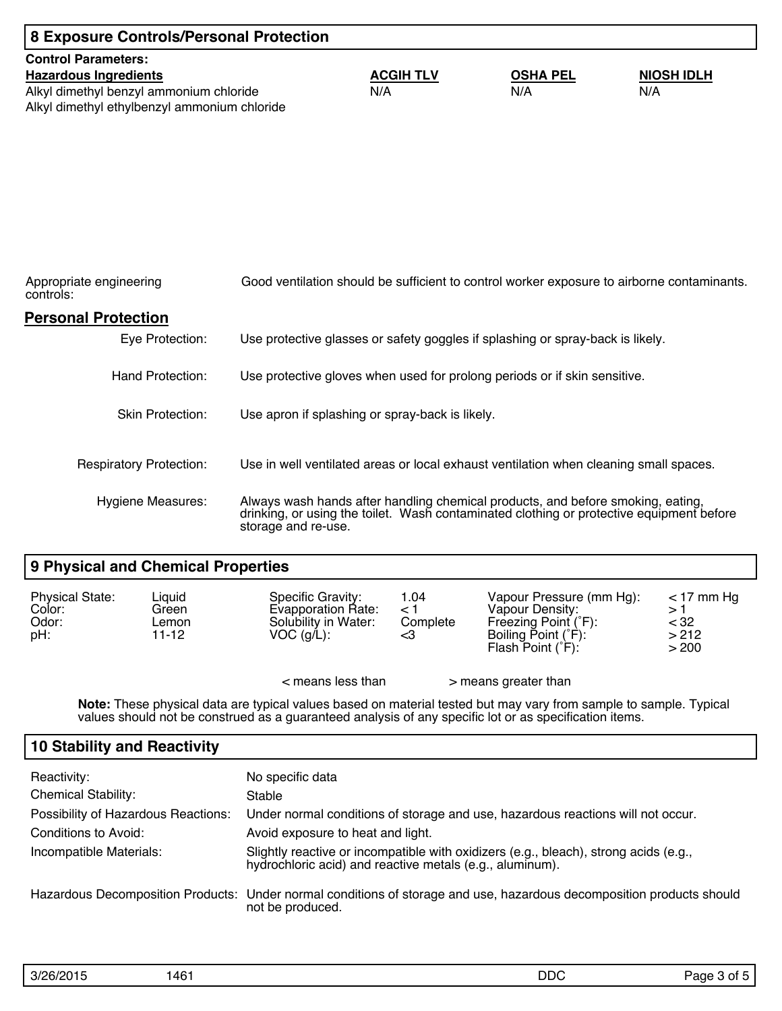| 8 Exposure Controls/Personal Protection      |                                                                                          |                 |                                                                                            |
|----------------------------------------------|------------------------------------------------------------------------------------------|-----------------|--------------------------------------------------------------------------------------------|
| <b>Control Parameters:</b>                   |                                                                                          |                 |                                                                                            |
| <b>Hazardous Ingredients</b>                 | <b>ACGIH TLV</b>                                                                         | <b>OSHA PEL</b> | <b>NIOSH IDLH</b>                                                                          |
| Alkyl dimethyl benzyl ammonium chloride      | N/A                                                                                      | N/A             | N/A                                                                                        |
| Alkyl dimethyl ethylbenzyl ammonium chloride |                                                                                          |                 |                                                                                            |
|                                              |                                                                                          |                 |                                                                                            |
|                                              |                                                                                          |                 |                                                                                            |
|                                              |                                                                                          |                 |                                                                                            |
|                                              |                                                                                          |                 |                                                                                            |
|                                              |                                                                                          |                 |                                                                                            |
|                                              |                                                                                          |                 |                                                                                            |
|                                              |                                                                                          |                 |                                                                                            |
| Appropriate engineering<br>controls:         |                                                                                          |                 | Good ventilation should be sufficient to control worker exposure to airborne contaminants. |
| <b>Personal Protection</b>                   |                                                                                          |                 |                                                                                            |
| Eye Protection:                              | Use protective glasses or safety goggles if splashing or spray-back is likely.           |                 |                                                                                            |
|                                              |                                                                                          |                 |                                                                                            |
| Hand Protection:                             | Use protective gloves when used for prolong periods or if skin sensitive.                |                 |                                                                                            |
|                                              |                                                                                          |                 |                                                                                            |
| <b>Skin Protection:</b>                      | Use apron if splashing or spray-back is likely.                                          |                 |                                                                                            |
|                                              |                                                                                          |                 |                                                                                            |
| <b>Respiratory Protection:</b>               | Use in well ventilated areas or local exhaust ventilation when cleaning small spaces.    |                 |                                                                                            |
|                                              |                                                                                          |                 |                                                                                            |
| Hygiene Measures:                            | Always wash hands after handling chemical products, and before smoking, eating,          |                 |                                                                                            |
|                                              | drinking, or using the toilet. Wash contaminated clothing or protective equipment before |                 |                                                                                            |

#### **9 Physical and Chemical Properties**

| <b>Physical State:</b><br>Color:<br>Odor:<br>pH: | Liquid<br>Specific Gravity:<br>Evapporation Rate:<br>Green<br>Solubility in Water:<br>Lemon<br>$VOC$ (g/L):<br>11-12 |                     | 1.04<br>⊂ ><br>Complete<br><3 | Vapour Pressure (mm Hg):<br>Vapour Density:<br>Freezing Point (°F):<br>Boiling Point (°F):<br>Flash Point $(F)$ : | $<$ 17 mm Hq<br>> 1<br>$<$ 32<br>>212<br>> 200 |
|--------------------------------------------------|----------------------------------------------------------------------------------------------------------------------|---------------------|-------------------------------|-------------------------------------------------------------------------------------------------------------------|------------------------------------------------|
|                                                  |                                                                                                                      | $<$ means less than |                               | > means greater than                                                                                              |                                                |

storage and re-use.

**Note:** These physical data are typical values based on material tested but may vary from sample to sample. Typical values should not be construed as a guaranteed analysis of any specific lot or as specification items.

#### **10 Stability and Reactivity**

| Reactivity:                         | No specific data                                                                                                                                 |
|-------------------------------------|--------------------------------------------------------------------------------------------------------------------------------------------------|
| <b>Chemical Stability:</b>          | Stable                                                                                                                                           |
| Possibility of Hazardous Reactions: | Under normal conditions of storage and use, hazardous reactions will not occur.                                                                  |
| Conditions to Avoid:                | Avoid exposure to heat and light.                                                                                                                |
| Incompatible Materials:             | Slightly reactive or incompatible with oxidizers (e.g., bleach), strong acids (e.g.,<br>hydrochloric acid) and reactive metals (e.g., aluminum). |
|                                     | Hazardous Decomposition Products: Under normal conditions of storage and use, hazardous decomposition products should<br>not be produced.        |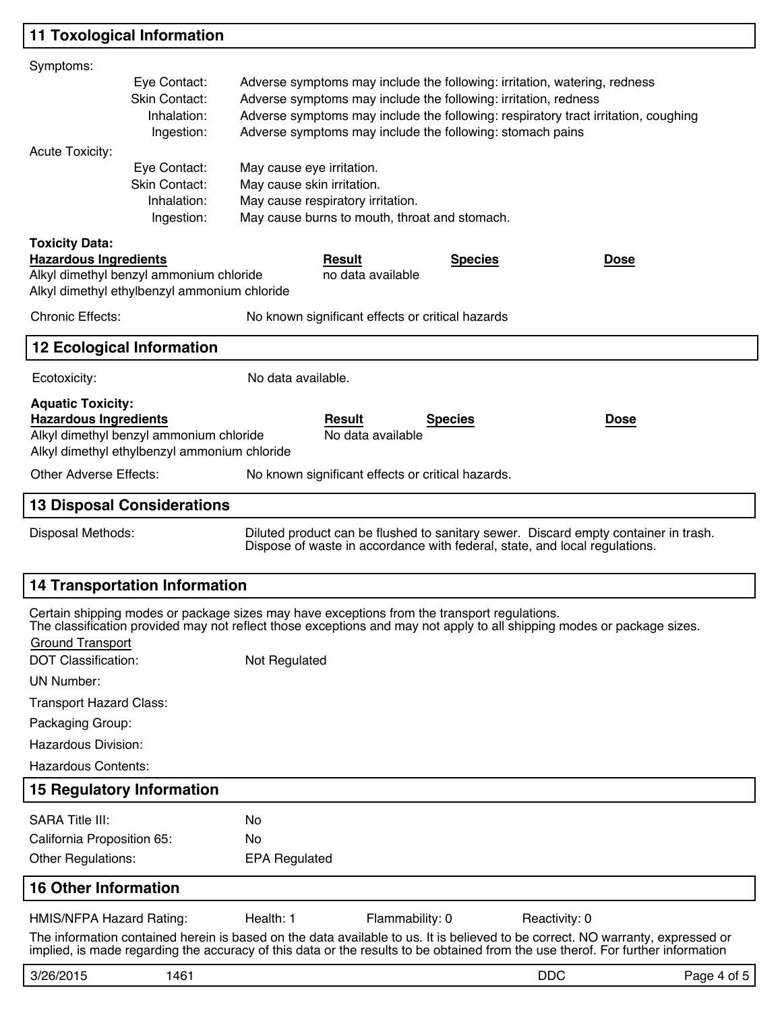## **11 Toxological Information**

| Symptoms:                      |                                                                                                                                                                                       |                            |                                                                                                                                                                                                                                                                   |                |               |             |
|--------------------------------|---------------------------------------------------------------------------------------------------------------------------------------------------------------------------------------|----------------------------|-------------------------------------------------------------------------------------------------------------------------------------------------------------------------------------------------------------------------------------------------------------------|----------------|---------------|-------------|
|                                | Eye Contact:                                                                                                                                                                          |                            | Adverse symptoms may include the following: irritation, watering, redness                                                                                                                                                                                         |                |               |             |
|                                | Skin Contact:<br>Adverse symptoms may include the following: irritation, redness<br>Inhalation:<br>Adverse symptoms may include the following: respiratory tract irritation, coughing |                            |                                                                                                                                                                                                                                                                   |                |               |             |
|                                | Ingestion:                                                                                                                                                                            |                            | Adverse symptoms may include the following: stomach pains                                                                                                                                                                                                         |                |               |             |
| <b>Acute Toxicity:</b>         |                                                                                                                                                                                       |                            |                                                                                                                                                                                                                                                                   |                |               |             |
|                                | Eye Contact:                                                                                                                                                                          | May cause eye irritation.  |                                                                                                                                                                                                                                                                   |                |               |             |
|                                | Skin Contact:<br>Inhalation:                                                                                                                                                          | May cause skin irritation. | May cause respiratory irritation.                                                                                                                                                                                                                                 |                |               |             |
|                                | Ingestion:                                                                                                                                                                            |                            | May cause burns to mouth, throat and stomach.                                                                                                                                                                                                                     |                |               |             |
| <b>Toxicity Data:</b>          |                                                                                                                                                                                       |                            |                                                                                                                                                                                                                                                                   |                |               |             |
| <b>Hazardous Ingredients</b>   |                                                                                                                                                                                       |                            | <b>Result</b>                                                                                                                                                                                                                                                     | <b>Species</b> | <u>Dose</u>   |             |
|                                | Alkyl dimethyl benzyl ammonium chloride<br>Alkyl dimethyl ethylbenzyl ammonium chloride                                                                                               |                            | no data available                                                                                                                                                                                                                                                 |                |               |             |
| <b>Chronic Effects:</b>        |                                                                                                                                                                                       |                            | No known significant effects or critical hazards                                                                                                                                                                                                                  |                |               |             |
|                                | <b>12 Ecological Information</b>                                                                                                                                                      |                            |                                                                                                                                                                                                                                                                   |                |               |             |
| Ecotoxicity:                   |                                                                                                                                                                                       | No data available.         |                                                                                                                                                                                                                                                                   |                |               |             |
| <b>Aquatic Toxicity:</b>       |                                                                                                                                                                                       |                            |                                                                                                                                                                                                                                                                   |                |               |             |
| <b>Hazardous Ingredients</b>   | Alkyl dimethyl benzyl ammonium chloride                                                                                                                                               |                            | <b>Result</b><br>No data available                                                                                                                                                                                                                                | <b>Species</b> | <b>Dose</b>   |             |
|                                | Alkyl dimethyl ethylbenzyl ammonium chloride                                                                                                                                          |                            |                                                                                                                                                                                                                                                                   |                |               |             |
| <b>Other Adverse Effects:</b>  |                                                                                                                                                                                       |                            | No known significant effects or critical hazards.                                                                                                                                                                                                                 |                |               |             |
|                                | <b>13 Disposal Considerations</b>                                                                                                                                                     |                            |                                                                                                                                                                                                                                                                   |                |               |             |
| Disposal Methods:              |                                                                                                                                                                                       |                            | Diluted product can be flushed to sanitary sewer. Discard empty container in trash.<br>Dispose of waste in accordance with federal, state, and local regulations.                                                                                                 |                |               |             |
|                                | <b>14 Transportation Information</b>                                                                                                                                                  |                            |                                                                                                                                                                                                                                                                   |                |               |             |
| <b>Ground Transport</b>        |                                                                                                                                                                                       |                            | Certain shipping modes or package sizes may have exceptions from the transport regulations.<br>The classification provided may not reflect those exceptions and may not apply to all shipping modes or package sizes.                                             |                |               |             |
| <b>DOT Classification:</b>     |                                                                                                                                                                                       | Not Regulated              |                                                                                                                                                                                                                                                                   |                |               |             |
| <b>UN Number:</b>              |                                                                                                                                                                                       |                            |                                                                                                                                                                                                                                                                   |                |               |             |
| <b>Transport Hazard Class:</b> |                                                                                                                                                                                       |                            |                                                                                                                                                                                                                                                                   |                |               |             |
| Packaging Group:               |                                                                                                                                                                                       |                            |                                                                                                                                                                                                                                                                   |                |               |             |
| Hazardous Division:            |                                                                                                                                                                                       |                            |                                                                                                                                                                                                                                                                   |                |               |             |
| <b>Hazardous Contents:</b>     |                                                                                                                                                                                       |                            |                                                                                                                                                                                                                                                                   |                |               |             |
|                                | <b>15 Regulatory Information</b>                                                                                                                                                      |                            |                                                                                                                                                                                                                                                                   |                |               |             |
| <b>SARA Title III:</b>         |                                                                                                                                                                                       | No                         |                                                                                                                                                                                                                                                                   |                |               |             |
| California Proposition 65:     |                                                                                                                                                                                       | No                         |                                                                                                                                                                                                                                                                   |                |               |             |
| Other Regulations:             |                                                                                                                                                                                       | <b>EPA Regulated</b>       |                                                                                                                                                                                                                                                                   |                |               |             |
| <b>16 Other Information</b>    |                                                                                                                                                                                       |                            |                                                                                                                                                                                                                                                                   |                |               |             |
| HMIS/NFPA Hazard Rating:       |                                                                                                                                                                                       | Health: 1                  | Flammability: 0                                                                                                                                                                                                                                                   |                | Reactivity: 0 |             |
|                                |                                                                                                                                                                                       |                            | The information contained herein is based on the data available to us. It is believed to be correct. NO warranty, expressed or<br>implied, is made regarding the accuracy of this data or the results to be obtained from the use therof. For further information |                |               |             |
| 3/26/2015                      | 1461                                                                                                                                                                                  |                            |                                                                                                                                                                                                                                                                   |                | <b>DDC</b>    | Page 4 of 5 |